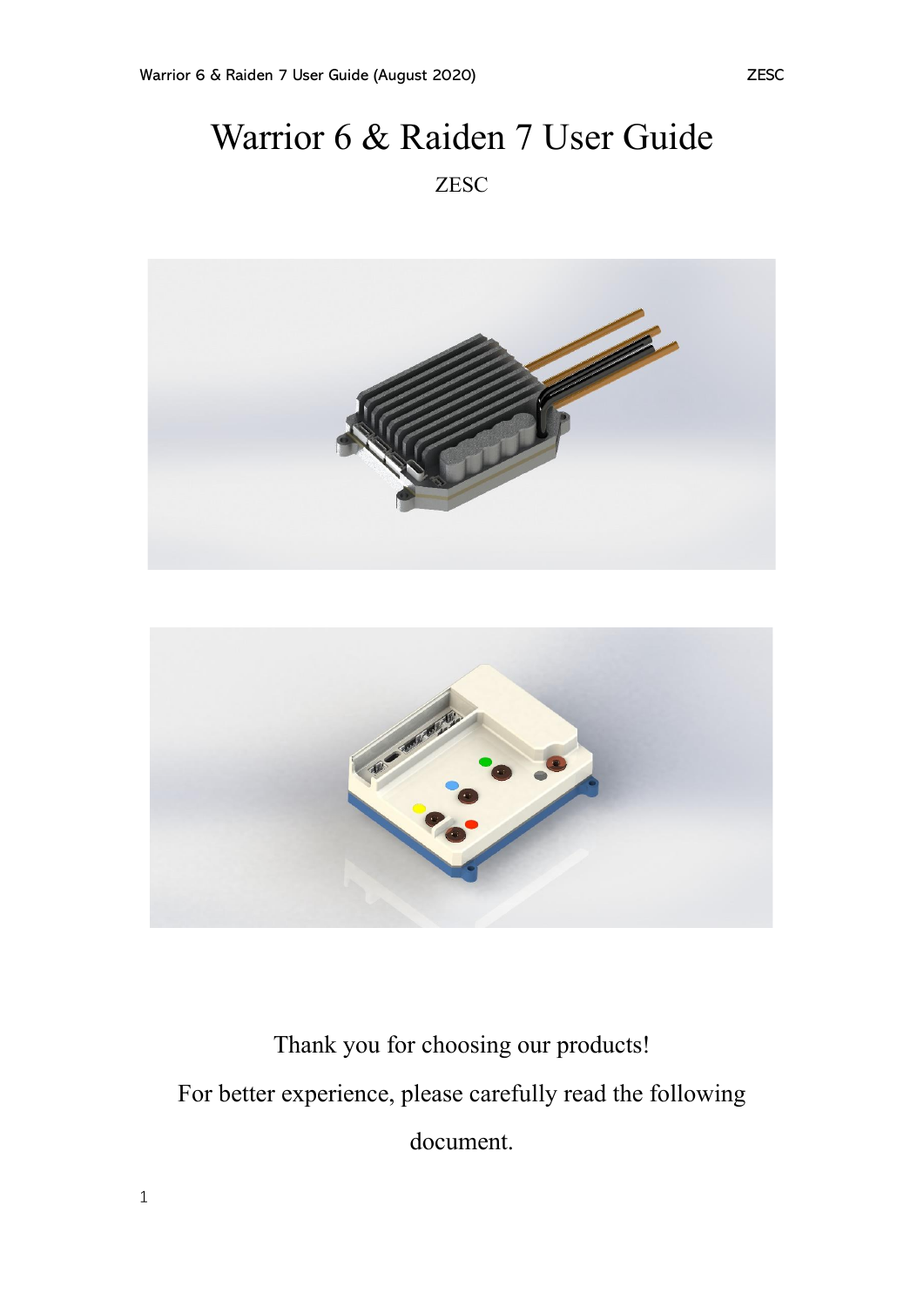# Warrior 6 & Raiden 7 User Guide ZESC





Thank you for choosing our products! For better experience, please carefully read the following document.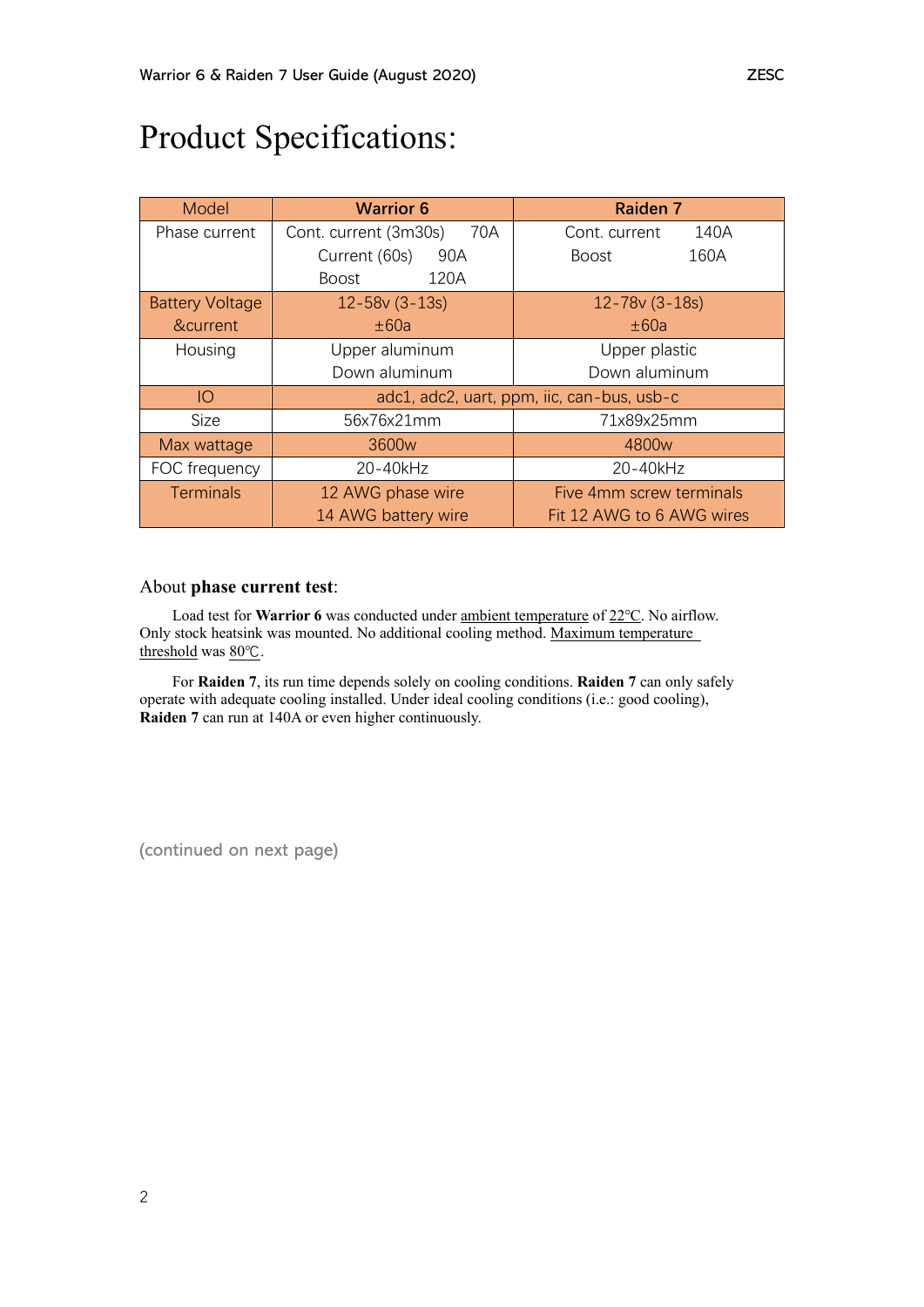# Product Specifications:

| Model                  | <b>Warrior 6</b>                           | <b>Raiden 7</b>           |
|------------------------|--------------------------------------------|---------------------------|
| Phase current          | Cont. current (3m30s)<br>70A               | 140A<br>Cont. current     |
|                        | Current (60s)<br>90A                       | 160A<br>Boost             |
|                        | 120A<br><b>Boost</b>                       |                           |
| <b>Battery Voltage</b> | $12 - 58v(3 - 13s)$                        | $12 - 78v (3 - 18s)$      |
| &current               | ±60a                                       | ±60a                      |
| Housing                | Upper aluminum                             | Upper plastic             |
|                        | Down aluminum                              | Down aluminum             |
| IO                     | adc1, adc2, uart, ppm, iic, can-bus, usb-c |                           |
| <b>Size</b>            | 56x76x21mm                                 | 71x89x25mm                |
| Max wattage            | 3600 <sub>w</sub>                          | 4800 <sub>w</sub>         |
| FOC frequency          | 20-40kHz                                   | 20-40kHz                  |
| <b>Terminals</b>       | 12 AWG phase wire                          | Five 4mm screw terminals  |
|                        | 14 AWG battery wire                        | Fit 12 AWG to 6 AWG wires |

#### About **phase current test**:

Load test for **Warrior 6** was conducted under ambient temperature of 22℃. No airflow. Only stock heatsink was mounted. No additional cooling method. Maximum temperature threshold was 80℃.

For **Raiden 7**, its run time depends solely on cooling conditions. **Raiden 7** can only safely operate with adequate cooling installed. Under ideal cooling conditions (i.e.: good cooling), **Raiden 7** can run at 140A or even higher continuously.

(continued on next page)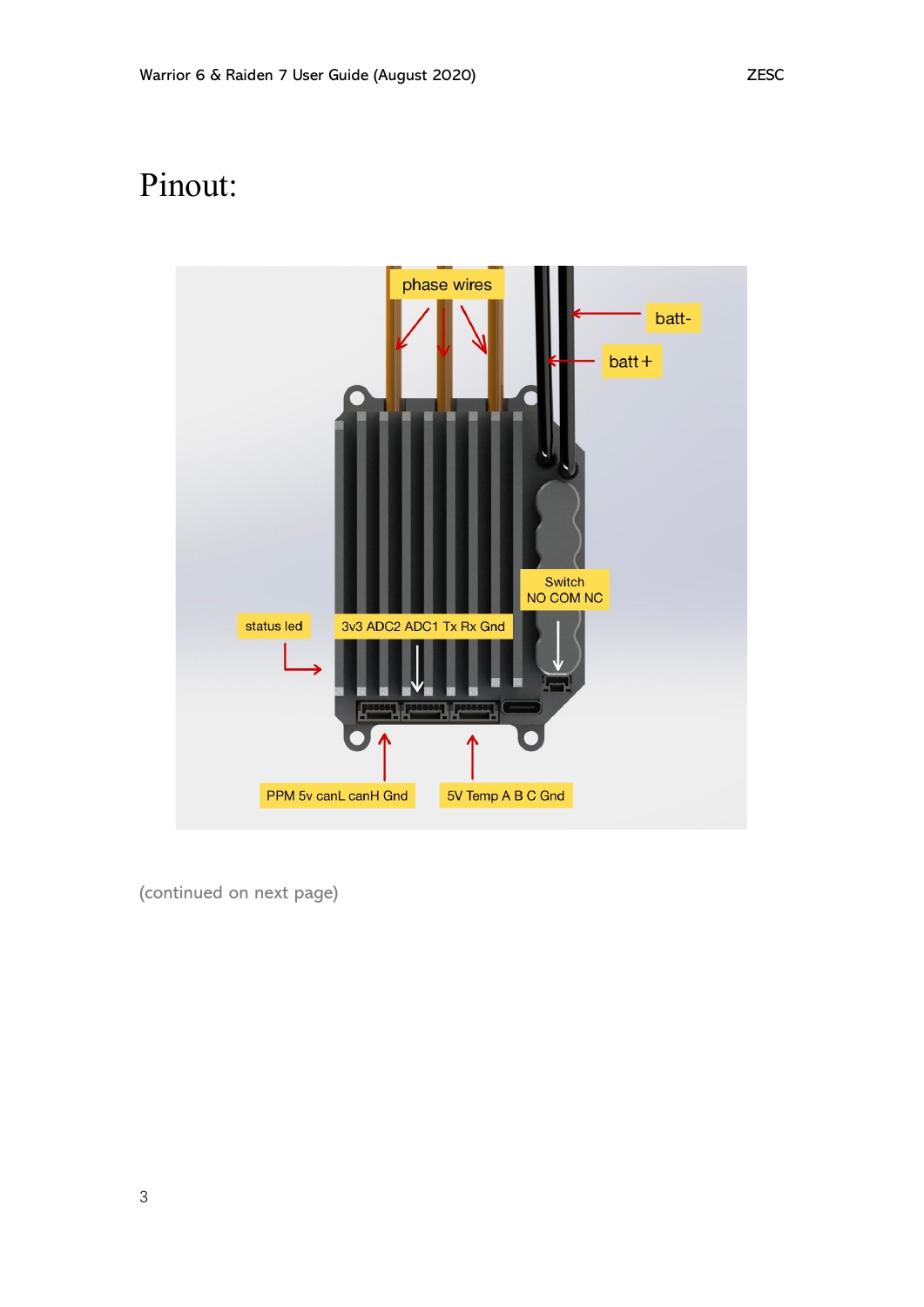# Pinout:



(continued on next page)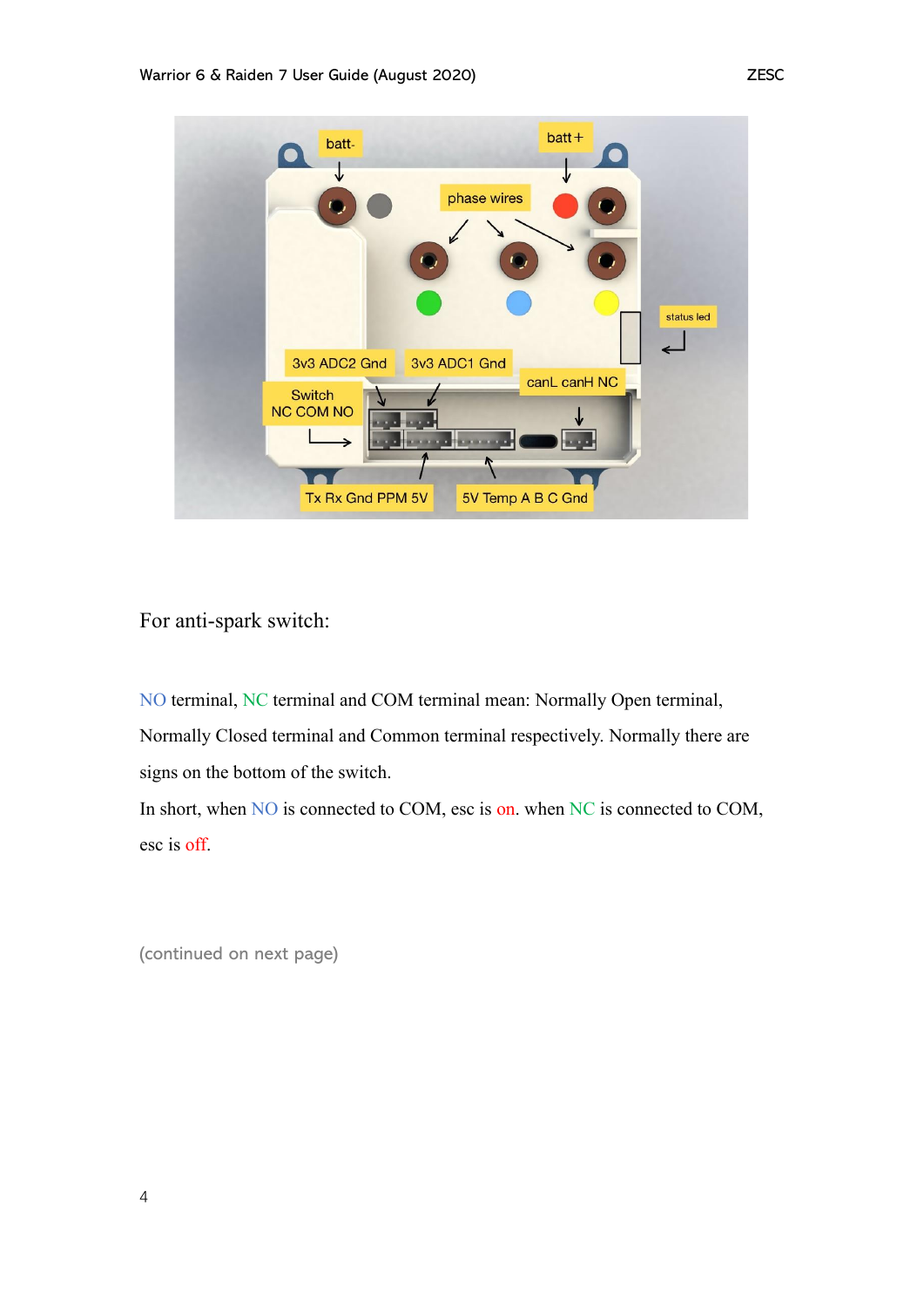

For anti-spark switch:

NO terminal, NC terminal and COM terminal mean: Normally Open terminal, Normally Closed terminal and Common terminal respectively. Normally there are signs on the bottom of the switch.

In short, when NO is connected to COM, esc is on. when NC is connected to COM, esc is off.

(continued on next page)